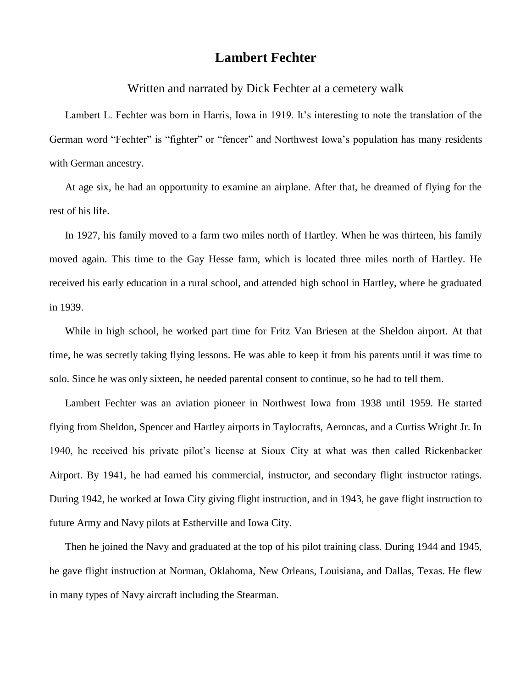## **Lambert Fechter**

Written and narrated by Dick Fechter at a cemetery walk

Lambert L. Fechter was born in Harris, Iowa in 1919. It's interesting to note the translation of the German word "Fechter" is "fighter" or "fencer" and Northwest Iowa's population has many residents with German ancestry.

At age six, he had an opportunity to examine an airplane. After that, he dreamed of flying for the rest of his life.

In 1927, his family moved to a farm two miles north of Hartley. When he was thirteen, his family moved again. This time to the Gay Hesse farm, which is located three miles north of Hartley. He received his early education in a rural school, and attended high school in Hartley, where he graduated in 1939.

While in high school, he worked part time for Fritz Van Briesen at the Sheldon airport. At that time, he was secretly taking flying lessons. He was able to keep it from his parents until it was time to solo. Since he was only sixteen, he needed parental consent to continue, so he had to tell them.

Lambert Fechter was an aviation pioneer in Northwest Iowa from 1938 until 1959. He started flying from Sheldon, Spencer and Hartley airports in Taylocrafts, Aeroncas, and a Curtiss Wright Jr. In 1940, he received his private pilot's license at Sioux City at what was then called Rickenbacker Airport. By 1941, he had earned his commercial, instructor, and secondary flight instructor ratings. During 1942, he worked at Iowa City giving flight instruction, and in 1943, he gave flight instruction to future Army and Navy pilots at Estherville and Iowa City.

Then he joined the Navy and graduated at the top of his pilot training class. During 1944 and 1945, he gave flight instruction at Norman, Oklahoma, New Orleans, Louisiana, and Dallas, Texas. He flew in many types of Navy aircraft including the Stearman.